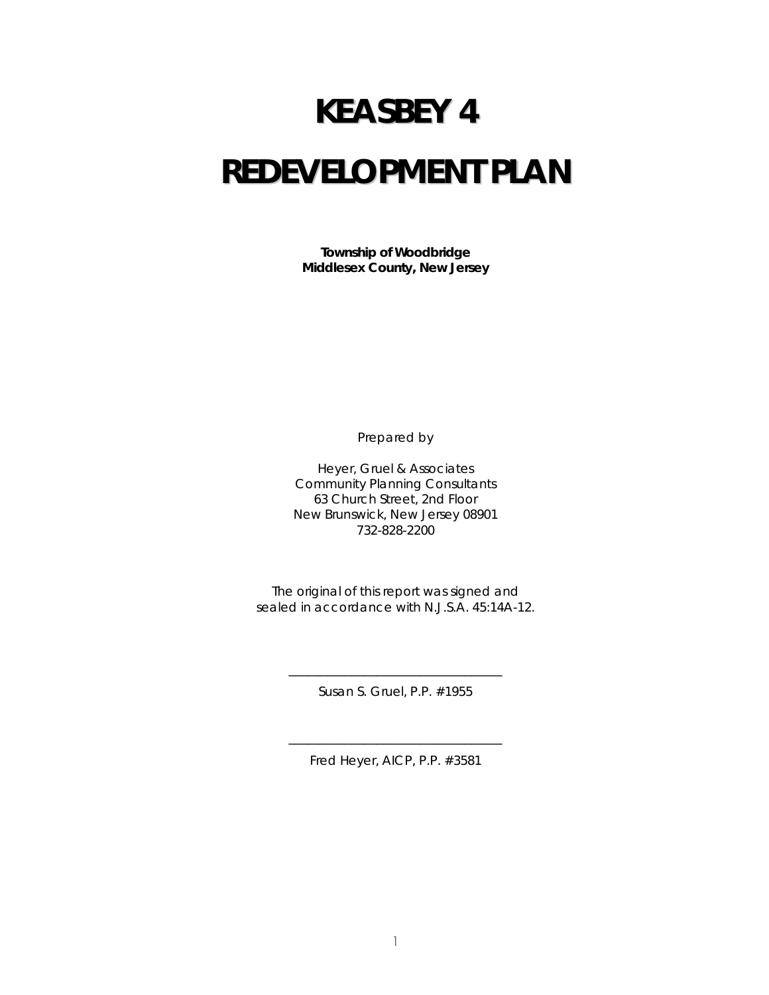# **KEASBEY 4 REDEVELOPMENT PLAN**

**Township of Woodbridge Middlesex County, New Jersey** 

Prepared by

Heyer, Gruel & Associates Community Planning Consultants 63 Church Street, 2nd Floor New Brunswick, New Jersey 08901 732-828-2200

The original of this report was signed and sealed in accordance with N.J.S.A. 45:14A-12.

> \_\_\_\_\_\_\_\_\_\_\_\_\_\_\_\_\_\_\_\_\_\_\_\_\_\_\_\_\_\_\_\_\_\_ Susan S. Gruel, P.P. #1955

> \_\_\_\_\_\_\_\_\_\_\_\_\_\_\_\_\_\_\_\_\_\_\_\_\_\_\_\_\_\_\_\_\_\_ Fred Heyer, AICP, P.P. #3581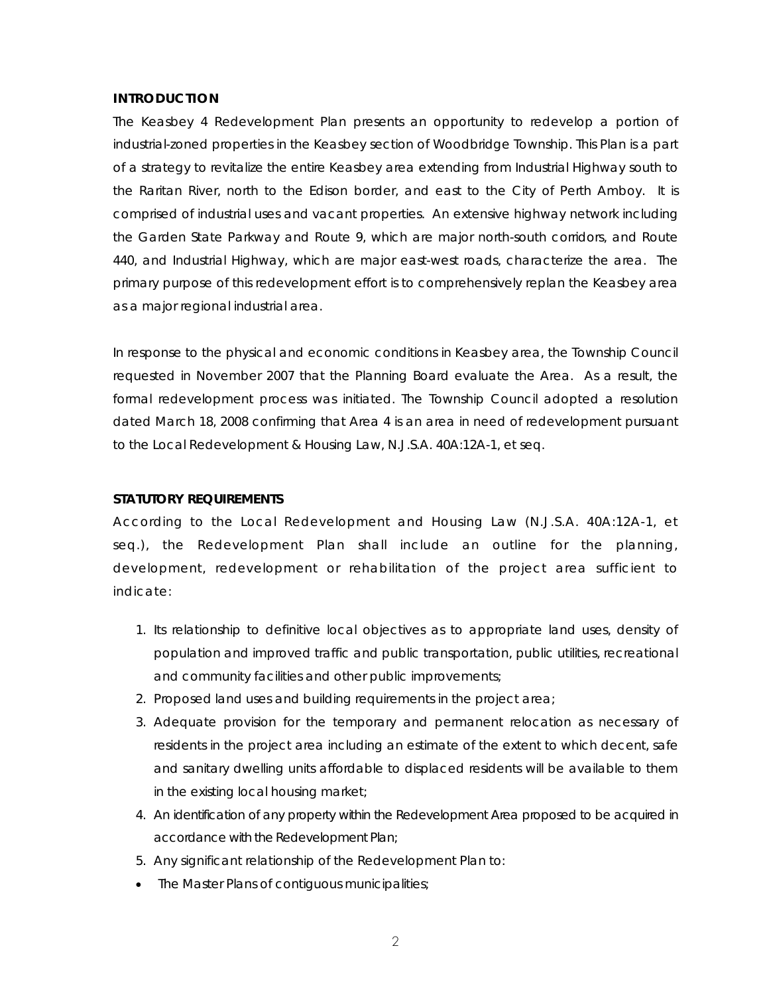#### **INTRODUCTION**

The Keasbey 4 Redevelopment Plan presents an opportunity to redevelop a portion of industrial-zoned properties in the Keasbey section of Woodbridge Township. This Plan is a part of a strategy to revitalize the entire Keasbey area extending from Industrial Highway south to the Raritan River, north to the Edison border, and east to the City of Perth Amboy. It is comprised of industrial uses and vacant properties. An extensive highway network including the Garden State Parkway and Route 9, which are major north-south corridors, and Route 440, and Industrial Highway, which are major east-west roads, characterize the area. The primary purpose of this redevelopment effort is to comprehensively replan the Keasbey area as a major regional industrial area.

In response to the physical and economic conditions in Keasbey area, the Township Council requested in November 2007 that the Planning Board evaluate the Area. As a result, the formal redevelopment process was initiated. The Township Council adopted a resolution dated March 18, 2008 confirming that Area 4 is an area in need of redevelopment pursuant to the Local Redevelopment & Housing Law, N.J.S.A. 40A:12A-1, *et seq*.

## **STATUTORY REQUIREMENTS**

According to the Local Redevelopment and Housing Law (N.J.S.A. 40A:12A-1, et seq.), the Redevelopment Plan shall include an outline for the planning, development, redevelopment or rehabilitation of the project area sufficient to indicate:

- 1. Its relationship to definitive local objectives as to appropriate land uses, density of population and improved traffic and public transportation, public utilities, recreational and community facilities and other public improvements;
- 2. Proposed land uses and building requirements in the project area;
- 3. Adequate provision for the temporary and permanent relocation as necessary of residents in the project area including an estimate of the extent to which decent, safe and sanitary dwelling units affordable to displaced residents will be available to them in the existing local housing market;
- 4. An identification of any property within the Redevelopment Area proposed to be acquired in accordance with the Redevelopment Plan;
- 5. Any significant relationship of the Redevelopment Plan to:
- The Master Plans of contiguous municipalities;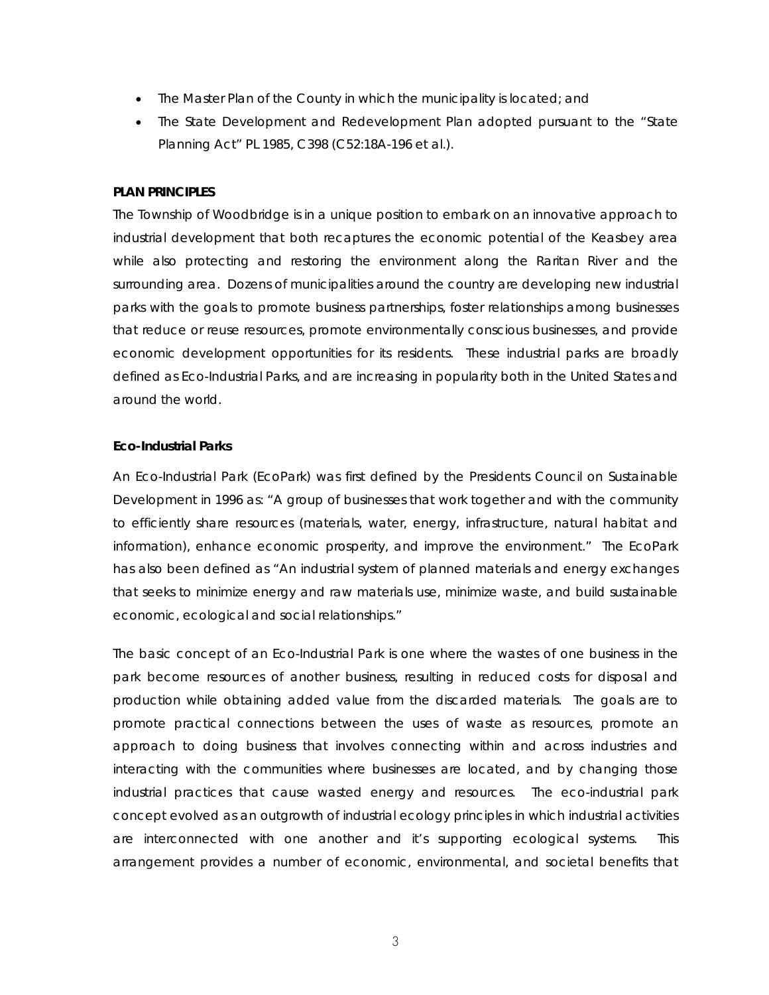- The Master Plan of the County in which the municipality is located; and
- The State Development and Redevelopment Plan adopted pursuant to the "State Planning Act" PL 1985, C398 (C52:18A-196 et al.).

#### **PLAN PRINCIPLES**

The Township of Woodbridge is in a unique position to embark on an innovative approach to industrial development that both recaptures the economic potential of the Keasbey area while also protecting and restoring the environment along the Raritan River and the surrounding area. Dozens of municipalities around the country are developing new industrial parks with the goals to promote business partnerships, foster relationships among businesses that reduce or reuse resources, promote environmentally conscious businesses, and provide economic development opportunities for its residents. These industrial parks are broadly defined as Eco-Industrial Parks, and are increasing in popularity both in the United States and around the world.

#### **Eco-Industrial Parks**

An Eco-Industrial Park (EcoPark) was first defined by the Presidents Council on Sustainable Development in 1996 as: *"A group of businesses that work together and with the community to efficiently share resources (materials, water, energy, infrastructure, natural habitat and information), enhance economic prosperity, and improve the environment."* The EcoPark has also been defined as *"An industrial system of planned materials and energy exchanges that seeks to minimize energy and raw materials use, minimize waste, and build sustainable economic, ecological and social relationships."*

The basic concept of an Eco-Industrial Park is one where the wastes of one business in the park become resources of another business, resulting in reduced costs for disposal and production while obtaining added value from the discarded materials. The goals are to promote practical connections between the uses of waste as resources, promote an approach to doing business that involves connecting within and across industries and interacting with the communities where businesses are located, and by changing those industrial practices that cause wasted energy and resources. The eco-industrial park concept evolved as an outgrowth of industrial ecology principles in which industrial activities are interconnected with one another and it's supporting ecological systems. arrangement provides a number of economic, environmental, and societal benefits that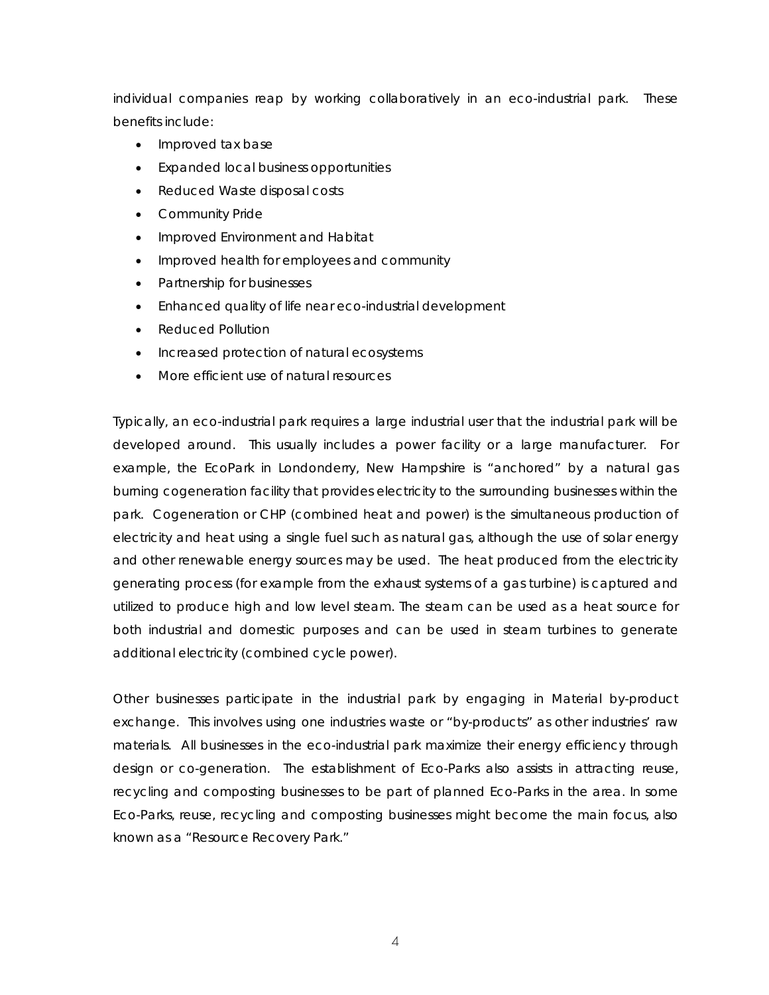individual companies reap by working collaboratively in an eco-industrial park. These benefits include:

- Improved tax base
- Expanded local business opportunities
- Reduced Waste disposal costs
- Community Pride
- Improved Environment and Habitat
- Improved health for employees and community
- Partnership for businesses
- Enhanced quality of life near eco-industrial development
- Reduced Pollution
- Increased protection of natural ecosystems
- More efficient use of natural resources

Typically, an eco-industrial park requires a large industrial user that the industrial park will be developed around. This usually includes a power facility or a large manufacturer. For example, the EcoPark in Londonderry, New Hampshire is "anchored" by a natural gas burning cogeneration facility that provides electricity to the surrounding businesses within the park. Cogeneration or CHP (combined heat and power) is the simultaneous production of electricity and heat using a single fuel such as natural gas, although the use of solar energy and other renewable energy sources may be used. The heat produced from the electricity generating process (for example from the exhaust systems of a gas turbine) is captured and utilized to produce high and low level steam. The steam can be used as a heat source for both industrial and domestic purposes and can be used in steam turbines to generate additional electricity (combined cycle power).

Other businesses participate in the industrial park by engaging in Material by-product exchange. This involves using one industries waste or "by-products" as other industries' raw materials. All businesses in the eco-industrial park maximize their energy efficiency through design or co-generation. The establishment of Eco-Parks also assists in attracting reuse, recycling and composting businesses to be part of planned Eco-Parks in the area. In some Eco-Parks, reuse, recycling and composting businesses might become the main focus, also known as a "Resource Recovery Park."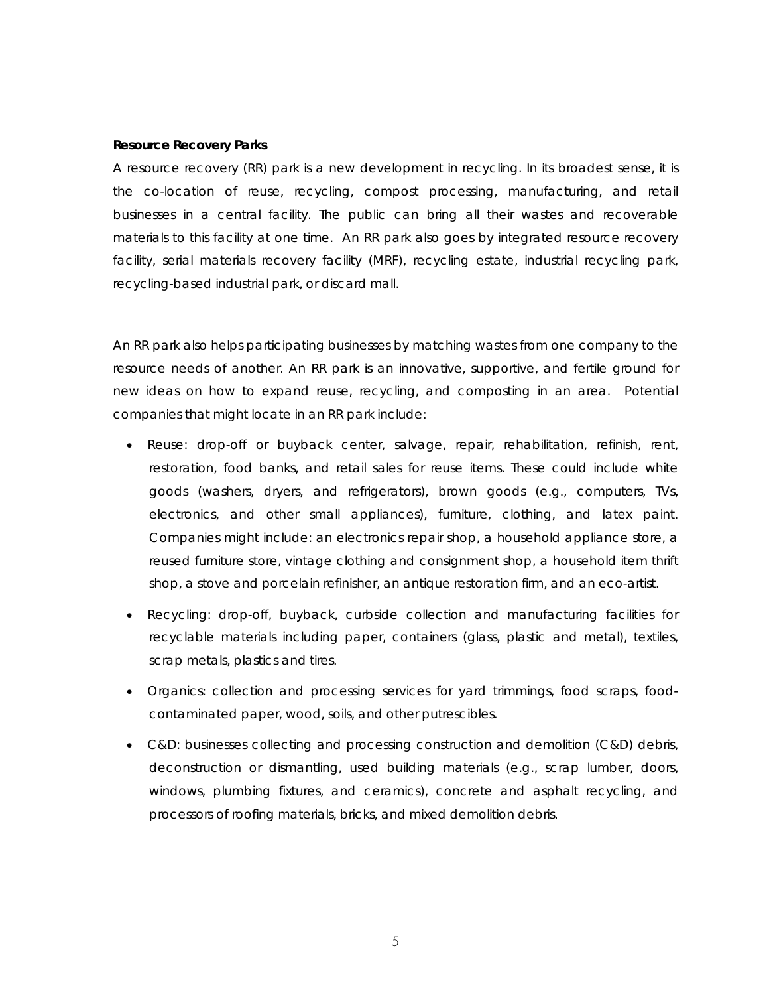#### **Resource Recovery Parks**

A resource recovery (RR) park is a new development in recycling. In its broadest sense, it is the co-location of reuse, recycling, compost processing, manufacturing, and retail businesses in a central facility. The public can bring all their wastes and recoverable materials to this facility at one time. An RR park also goes by integrated resource recovery facility, serial materials recovery facility (MRF), recycling estate, industrial recycling park, recycling-based industrial park, or discard mall.

An RR park also helps participating businesses by matching wastes from one company to the resource needs of another. An RR park is an innovative, supportive, and fertile ground for new ideas on how to expand reuse, recycling, and composting in an area. Potential companies that might locate in an RR park include:

- Reuse: drop-off or buyback center, salvage, repair, rehabilitation, refinish, rent, restoration, food banks, and retail sales for reuse items. These could include white goods (washers, dryers, and refrigerators), brown goods (e.g., computers, TVs, electronics, and other small appliances), furniture, clothing, and latex paint. Companies might include: an electronics repair shop, a household appliance store, a reused furniture store, vintage clothing and consignment shop, a household item thrift shop, a stove and porcelain refinisher, an antique restoration firm, and an eco-artist.
- Recycling: drop-off, buyback, curbside collection and manufacturing facilities for recyclable materials including paper, containers (glass, plastic and metal), textiles, scrap metals, plastics and tires.
- Organics: collection and processing services for yard trimmings, food scraps, foodcontaminated paper, wood, soils, and other putrescibles.
- C&D: businesses collecting and processing construction and demolition (C&D) debris, deconstruction or dismantling, used building materials (e.g., scrap lumber, doors, windows, plumbing fixtures, and ceramics), concrete and asphalt recycling, and processors of roofing materials, bricks, and mixed demolition debris.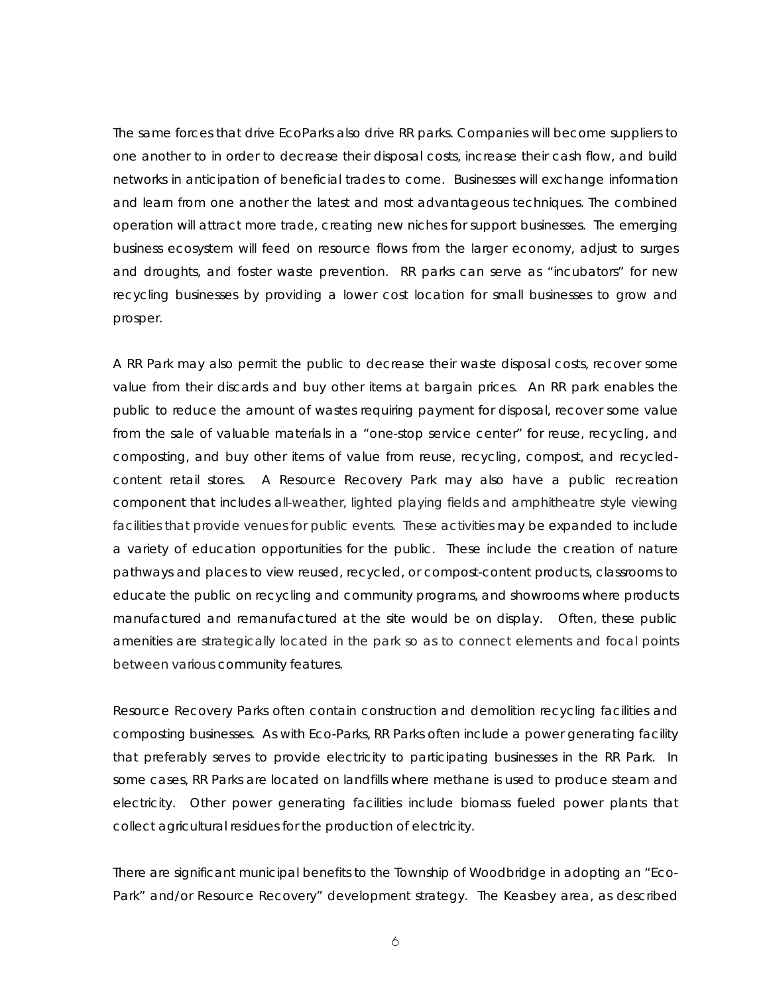The same forces that drive EcoParks also drive RR parks. Companies will become suppliers to one another to in order to decrease their disposal costs, increase their cash flow, and build networks in anticipation of beneficial trades to come. Businesses will exchange information and learn from one another the latest and most advantageous techniques. The combined operation will attract more trade, creating new niches for support businesses. The emerging business ecosystem will feed on resource flows from the larger economy, adjust to surges and droughts, and foster waste prevention. RR parks can serve as "incubators" for new recycling businesses by providing a lower cost location for small businesses to grow and prosper.

A RR Park may also permit the public to decrease their waste disposal costs, recover some value from their discards and buy other items at bargain prices. An RR park enables the public to reduce the amount of wastes requiring payment for disposal, recover some value from the sale of valuable materials in a "one-stop service center" for reuse, recycling, and composting, and buy other items of value from reuse, recycling, compost, and recycledcontent retail stores. A Resource Recovery Park may also have a public recreation component that includes all-weather, lighted playing fields and amphitheatre style viewing facilities that provide venues for public events. These activities may be expanded to include a variety of education opportunities for the public. These include the creation of nature pathways and places to view reused, recycled, or compost-content products, classrooms to educate the public on recycling and community programs, and showrooms where products manufactured and remanufactured at the site would be on display. Often, these public amenities are strategically located in the park so as to connect elements and focal points between various community features.

Resource Recovery Parks often contain construction and demolition recycling facilities and composting businesses. As with Eco-Parks, RR Parks often include a power generating facility that preferably serves to provide electricity to participating businesses in the RR Park. In some cases, RR Parks are located on landfills where methane is used to produce steam and electricity. Other power generating facilities include biomass fueled power plants that collect agricultural residues for the production of electricity.

There are significant municipal benefits to the Township of Woodbridge in adopting an "Eco-Park" and/or Resource Recovery" development strategy. The Keasbey area, as described

6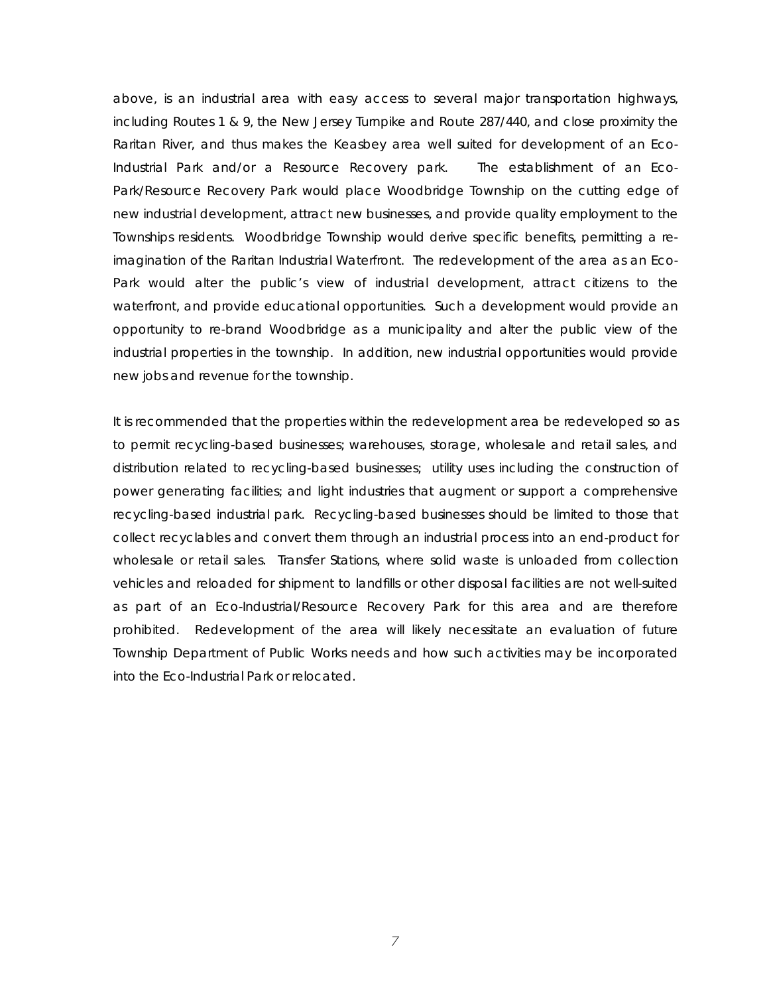above, is an industrial area with easy access to several major transportation highways, including Routes 1 & 9, the New Jersey Turnpike and Route 287/440, and close proximity the Raritan River, and thus makes the Keasbey area well suited for development of an Eco-Industrial Park and/or a Resource Recovery park. The establishment of an Eco-Park/Resource Recovery Park would place Woodbridge Township on the cutting edge of new industrial development, attract new businesses, and provide quality employment to the Townships residents. Woodbridge Township would derive specific benefits, permitting a reimagination of the Raritan Industrial Waterfront. The redevelopment of the area as an Eco-Park would alter the public's view of industrial development, attract citizens to the waterfront, and provide educational opportunities. Such a development would provide an opportunity to re-brand Woodbridge as a municipality and alter the public view of the industrial properties in the township. In addition, new industrial opportunities would provide new jobs and revenue for the township.

It is recommended that the properties within the redevelopment area be redeveloped so as to permit recycling-based businesses; warehouses, storage, wholesale and retail sales, and distribution related to recycling-based businesses; utility uses including the construction of power generating facilities; and light industries that augment or support a comprehensive recycling-based industrial park. Recycling-based businesses should be limited to those that collect recyclables and convert them through an industrial process into an end-product for wholesale or retail sales. Transfer Stations, where solid waste is unloaded from collection vehicles and reloaded for shipment to landfills or other disposal facilities are not well-suited as part of an Eco-Industrial/Resource Recovery Park for this area and are therefore prohibited. Redevelopment of the area will likely necessitate an evaluation of future Township Department of Public Works needs and how such activities may be incorporated into the Eco-Industrial Park or relocated.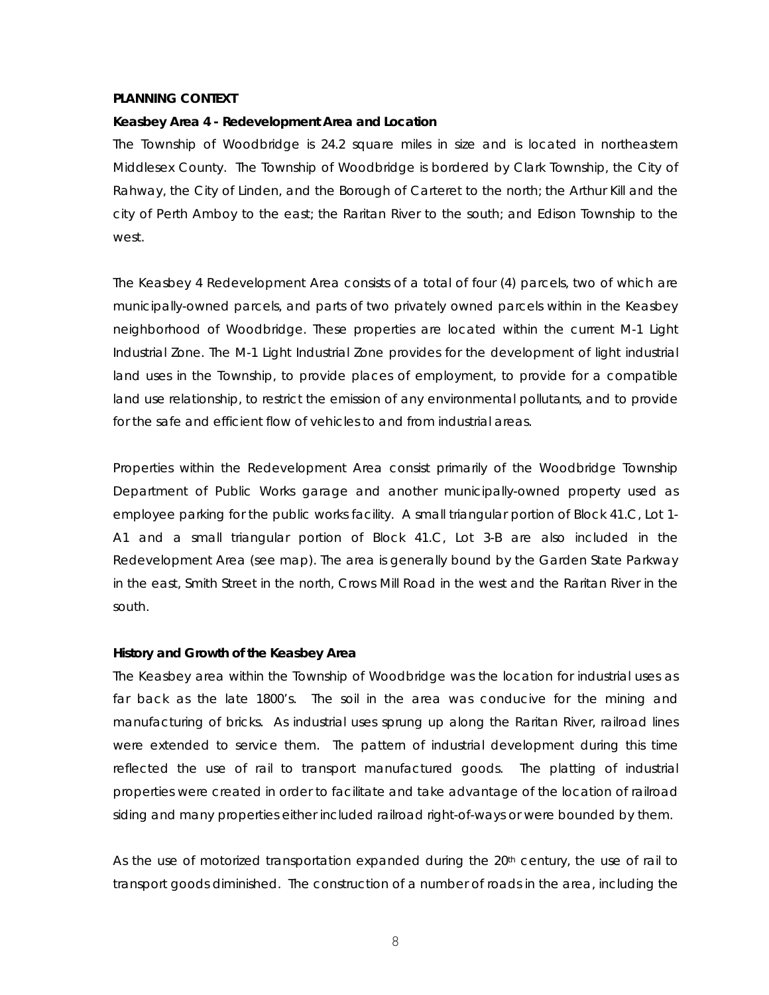#### **PLANNING CONTEXT**

#### **Keasbey Area 4 - Redevelopment Area and Location**

The Township of Woodbridge is 24.2 square miles in size and is located in northeastern Middlesex County. The Township of Woodbridge is bordered by Clark Township, the City of Rahway, the City of Linden, and the Borough of Carteret to the north; the Arthur Kill and the city of Perth Amboy to the east; the Raritan River to the south; and Edison Township to the west.

The Keasbey 4 Redevelopment Area consists of a total of four (4) parcels, two of which are municipally-owned parcels, and parts of two privately owned parcels within in the Keasbey neighborhood of Woodbridge. These properties are located within the current M-1 Light Industrial Zone. The M-1 Light Industrial Zone provides for the development of light industrial land uses in the Township, to provide places of employment, to provide for a compatible land use relationship, to restrict the emission of any environmental pollutants, and to provide for the safe and efficient flow of vehicles to and from industrial areas.

Properties within the Redevelopment Area consist primarily of the Woodbridge Township Department of Public Works garage and another municipally-owned property used as employee parking for the public works facility. A small triangular portion of Block 41.C, Lot 1- A1 and a small triangular portion of Block 41.C, Lot 3-B are also included in the Redevelopment Area (see map). The area is generally bound by the Garden State Parkway in the east, Smith Street in the north, Crows Mill Road in the west and the Raritan River in the south.

#### **History and Growth of the Keasbey Area**

The Keasbey area within the Township of Woodbridge was the location for industrial uses as far back as the late 1800's. The soil in the area was conducive for the mining and manufacturing of bricks. As industrial uses sprung up along the Raritan River, railroad lines were extended to service them. The pattern of industrial development during this time reflected the use of rail to transport manufactured goods. The platting of industrial properties were created in order to facilitate and take advantage of the location of railroad siding and many properties either included railroad right-of-ways or were bounded by them.

As the use of motorized transportation expanded during the  $20<sup>th</sup>$  century, the use of rail to transport goods diminished. The construction of a number of roads in the area, including the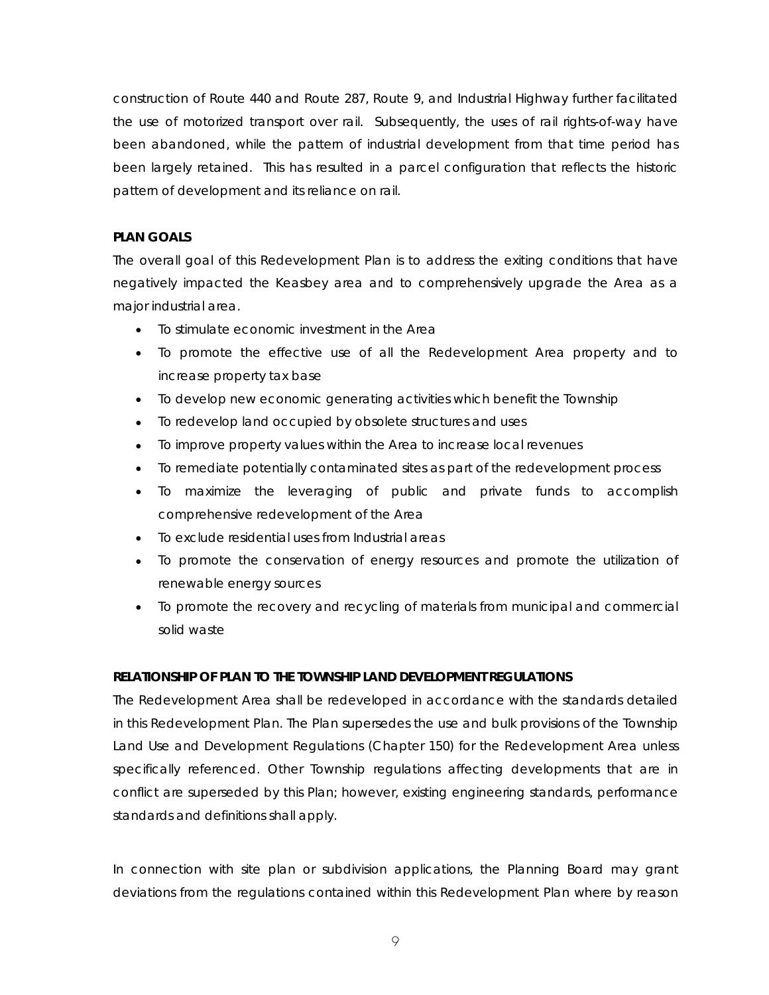construction of Route 440 and Route 287, Route 9, and Industrial Highway further facilitated the use of motorized transport over rail. Subsequently, the uses of rail rights-of-way have been abandoned, while the pattern of industrial development from that time period has been largely retained. This has resulted in a parcel configuration that reflects the historic pattern of development and its reliance on rail.

## **PLAN GOALS**

The overall goal of this Redevelopment Plan is to address the exiting conditions that have negatively impacted the Keasbey area and to comprehensively upgrade the Area as a major industrial area.

- To stimulate economic investment in the Area
- To promote the effective use of all the Redevelopment Area property and to increase property tax base
- To develop new economic generating activities which benefit the Township
- To redevelop land occupied by obsolete structures and uses
- To improve property values within the Area to increase local revenues
- To remediate potentially contaminated sites as part of the redevelopment process
- To maximize the leveraging of public and private funds to accomplish comprehensive redevelopment of the Area
- To exclude residential uses from Industrial areas
- To promote the conservation of energy resources and promote the utilization of renewable energy sources
- To promote the recovery and recycling of materials from municipal and commercial solid waste

# **RELATIONSHIP OF PLAN TO THE TOWNSHIP LAND DEVELOPMENT REGULATIONS**

The Redevelopment Area shall be redeveloped in accordance with the standards detailed in this Redevelopment Plan. The Plan supersedes the use and bulk provisions of the Township Land Use and Development Regulations (Chapter 150) for the Redevelopment Area unless specifically referenced. Other Township regulations affecting developments that are in conflict are superseded by this Plan; however, existing engineering standards, performance standards and definitions shall apply.

In connection with site plan or subdivision applications, the Planning Board may grant deviations from the regulations contained within this Redevelopment Plan where by reason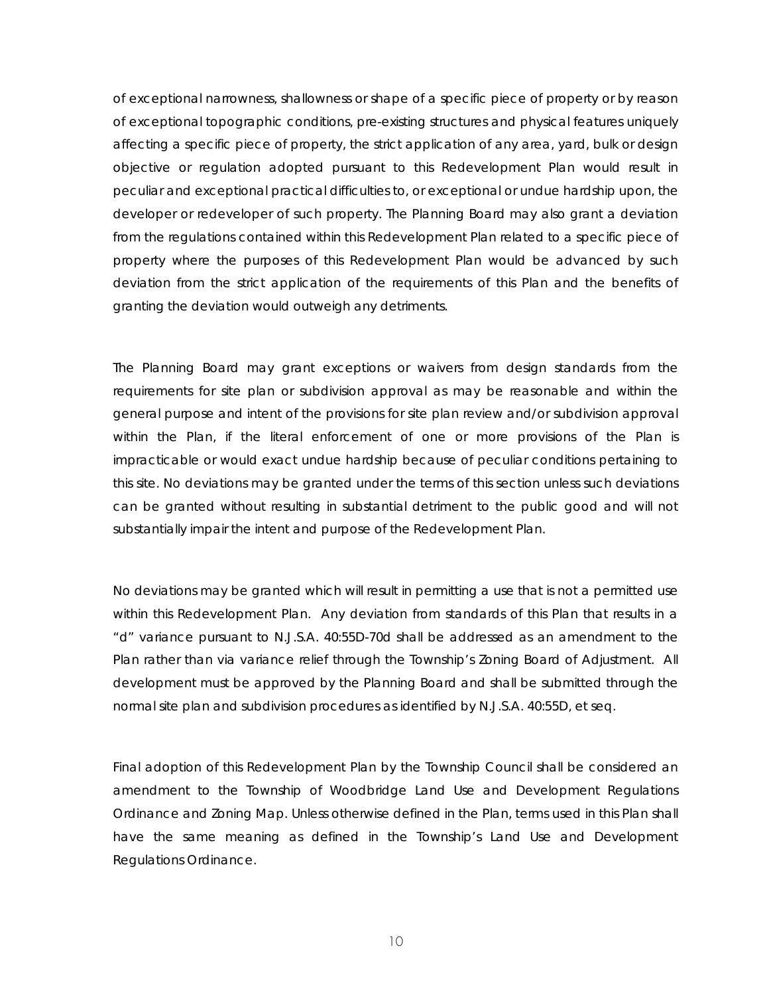of exceptional narrowness, shallowness or shape of a specific piece of property or by reason of exceptional topographic conditions, pre-existing structures and physical features uniquely affecting a specific piece of property, the strict application of any area, yard, bulk or design objective or regulation adopted pursuant to this Redevelopment Plan would result in peculiar and exceptional practical difficulties to, or exceptional or undue hardship upon, the developer or redeveloper of such property. The Planning Board may also grant a deviation from the regulations contained within this Redevelopment Plan related to a specific piece of property where the purposes of this Redevelopment Plan would be advanced by such deviation from the strict application of the requirements of this Plan and the benefits of granting the deviation would outweigh any detriments.

The Planning Board may grant exceptions or waivers from design standards from the requirements for site plan or subdivision approval as may be reasonable and within the general purpose and intent of the provisions for site plan review and/or subdivision approval within the Plan, if the literal enforcement of one or more provisions of the Plan is impracticable or would exact undue hardship because of peculiar conditions pertaining to this site. No deviations may be granted under the terms of this section unless such deviations can be granted without resulting in substantial detriment to the public good and will not substantially impair the intent and purpose of the Redevelopment Plan.

No deviations may be granted which will result in permitting a use that is not a permitted use within this Redevelopment Plan. Any deviation from standards of this Plan that results in a "d" variance pursuant to N.J.S.A. 40:55D-70d shall be addressed as an amendment to the Plan rather than via variance relief through the Township's Zoning Board of Adjustment. All development must be approved by the Planning Board and shall be submitted through the normal site plan and subdivision procedures as identified by N.J.S.A. 40:55D, et seq.

Final adoption of this Redevelopment Plan by the Township Council shall be considered an amendment to the Township of Woodbridge Land Use and Development Regulations Ordinance and Zoning Map. Unless otherwise defined in the Plan, terms used in this Plan shall have the same meaning as defined in the Township's Land Use and Development Regulations Ordinance.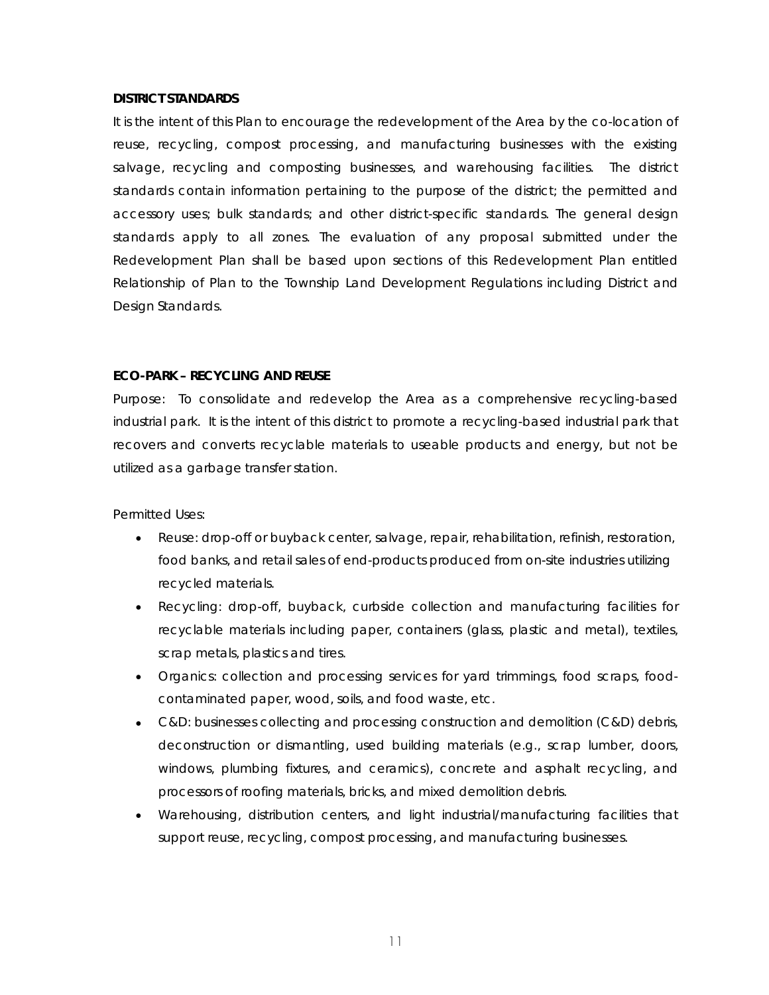#### **DISTRICT STANDARDS**

It is the intent of this Plan to encourage the redevelopment of the Area by the co-location of reuse, recycling, compost processing, and manufacturing businesses with the existing salvage, recycling and composting businesses, and warehousing facilities. The district standards contain information pertaining to the purpose of the district; the permitted and accessory uses; bulk standards; and other district-specific standards. The general design standards apply to all zones. The evaluation of any proposal submitted under the Redevelopment Plan shall be based upon sections of this Redevelopment Plan entitled Relationship of Plan to the Township Land Development Regulations including District and Design Standards.

#### **ECO-PARK – RECYCLING AND REUSE**

*Purpose:* To consolidate and redevelop the Area as a comprehensive recycling-based industrial park. It is the intent of this district to promote a recycling-based industrial park that recovers and converts recyclable materials to useable products and energy, but not be utilized as a garbage transfer station.

#### *Permitted Uses:*

- Reuse: drop-off or buyback center, salvage, repair, rehabilitation, refinish, restoration, food banks, and retail sales of end-products produced from on-site industries utilizing recycled materials.
- Recycling: drop-off, buyback, curbside collection and manufacturing facilities for recyclable materials including paper, containers (glass, plastic and metal), textiles, scrap metals, plastics and tires.
- Organics: collection and processing services for yard trimmings, food scraps, foodcontaminated paper, wood, soils, and food waste, etc.
- C&D: businesses collecting and processing construction and demolition (C&D) debris, deconstruction or dismantling, used building materials (e.g., scrap lumber, doors, windows, plumbing fixtures, and ceramics), concrete and asphalt recycling, and processors of roofing materials, bricks, and mixed demolition debris.
- Warehousing, distribution centers, and light industrial/manufacturing facilities that support reuse, recycling, compost processing, and manufacturing businesses.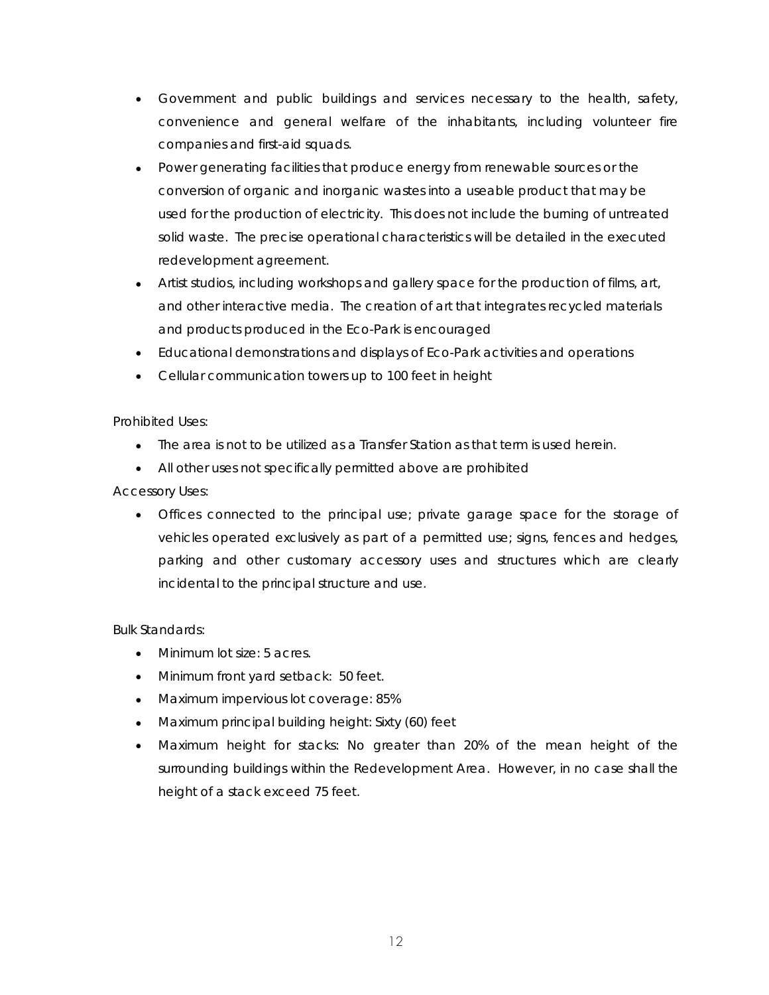- Government and public buildings and services necessary to the health, safety, convenience and general welfare of the inhabitants, including volunteer fire companies and first-aid squads.
- Power generating facilities that produce energy from renewable sources or the conversion of organic and inorganic wastes into a useable product that may be used for the production of electricity. This does not include the burning of untreated solid waste. The precise operational characteristics will be detailed in the executed redevelopment agreement.
- Artist studios, including workshops and gallery space for the production of films, art, and other interactive media. The creation of art that integrates recycled materials and products produced in the Eco-Park is encouraged
- Educational demonstrations and displays of Eco-Park activities and operations
- Cellular communication towers up to 100 feet in height

# *Prohibited Uses:*

- The area is not to be utilized as a Transfer Station as that term is used herein.
- All other uses not specifically permitted above are prohibited

## *Accessory Uses:*

• Offices connected to the principal use; private garage space for the storage of vehicles operated exclusively as part of a permitted use; signs, fences and hedges, parking and other customary accessory uses and structures which are clearly incidental to the principal structure and use.

#### *Bulk Standards:*

- Minimum lot size: 5 acres.
- Minimum front yard setback: 50 feet.
- Maximum impervious lot coverage: 85%
- Maximum principal building height: Sixty (60) feet
- Maximum height for stacks: No greater than 20% of the mean height of the surrounding buildings within the Redevelopment Area. However, in no case shall the height of a stack exceed 75 feet.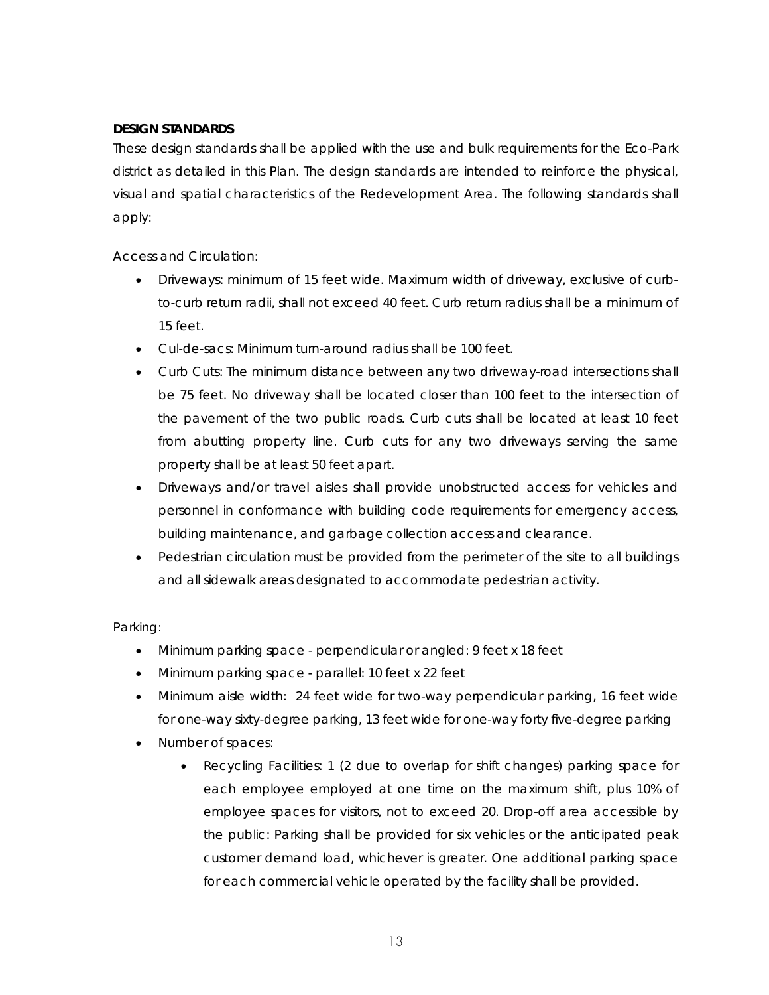## **DESIGN STANDARDS**

These design standards shall be applied with the use and bulk requirements for the Eco-Park district as detailed in this Plan. The design standards are intended to reinforce the physical, visual and spatial characteristics of the Redevelopment Area. The following standards shall apply:

# *Access and Circulation:*

- Driveways: minimum of 15 feet wide. Maximum width of driveway, exclusive of curbto-curb return radii, shall not exceed 40 feet. Curb return radius shall be a minimum of 15 feet.
- Cul-de-sacs: Minimum turn-around radius shall be 100 feet.
- Curb Cuts: The minimum distance between any two driveway-road intersections shall be 75 feet. No driveway shall be located closer than 100 feet to the intersection of the pavement of the two public roads. Curb cuts shall be located at least 10 feet from abutting property line. Curb cuts for any two driveways serving the same property shall be at least 50 feet apart.
- Driveways and/or travel aisles shall provide unobstructed access for vehicles and personnel in conformance with building code requirements for emergency access, building maintenance, and garbage collection access and clearance.
- Pedestrian circulation must be provided from the perimeter of the site to all buildings and all sidewalk areas designated to accommodate pedestrian activity.

# *Parking:*

- Minimum parking space perpendicular or angled: 9 feet x 18 feet
- Minimum parking space parallel: 10 feet x 22 feet
- Minimum aisle width: 24 feet wide for two-way perpendicular parking, 16 feet wide for one-way sixty-degree parking, 13 feet wide for one-way forty five-degree parking
- Number of spaces:
	- Recycling Facilities: 1 (2 due to overlap for shift changes) parking space for each employee employed at one time on the maximum shift, plus 10% of employee spaces for visitors, not to exceed 20. Drop-off area accessible by the public: Parking shall be provided for six vehicles or the anticipated peak customer demand load, whichever is greater. One additional parking space for each commercial vehicle operated by the facility shall be provided.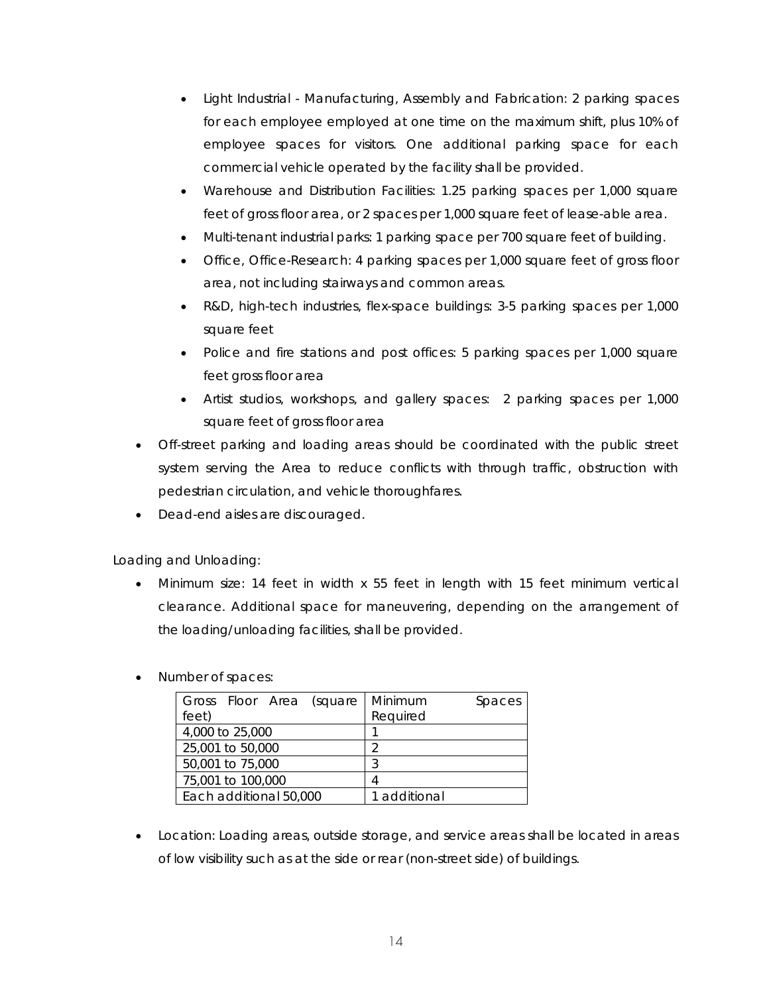- Light Industrial Manufacturing, Assembly and Fabrication: 2 parking spaces for each employee employed at one time on the maximum shift, plus 10% of employee spaces for visitors. One additional parking space for each commercial vehicle operated by the facility shall be provided.
- Warehouse and Distribution Facilities: 1.25 parking spaces per 1,000 square feet of gross floor area, or 2 spaces per 1,000 square feet of lease-able area.
- Multi-tenant industrial parks: 1 parking space per 700 square feet of building.
- Office, Office-Research: 4 parking spaces per 1,000 square feet of gross floor area, not including stairways and common areas.
- R&D, high-tech industries, flex-space buildings: 3-5 parking spaces per 1,000 square feet
- Police and fire stations and post offices: 5 parking spaces per 1,000 square feet gross floor area
- Artist studios, workshops, and gallery spaces: 2 parking spaces per 1,000 square feet of gross floor area
- Off-street parking and loading areas should be coordinated with the public street system serving the Area to reduce conflicts with through traffic, obstruction with pedestrian circulation, and vehicle thoroughfares.
- Dead-end aisles are discouraged.

# *Loading and Unloading:*

• Minimum size: 14 feet in width x 55 feet in length with 15 feet minimum vertical clearance. Additional space for maneuvering, depending on the arrangement of the loading/unloading facilities, shall be provided.

# • Number of spaces:

| Gross Floor Area (square | Minimum<br>Spaces |
|--------------------------|-------------------|
| feet)                    | Required          |
| 4,000 to 25,000          |                   |
| 25,001 to 50,000         |                   |
| 50,001 to 75,000         | 3                 |
| 75,001 to 100,000        | 4                 |
| Each additional 50,000   | 1 additional      |

• Location: Loading areas, outside storage, and service areas shall be located in areas of low visibility such as at the side or rear (non-street side) of buildings.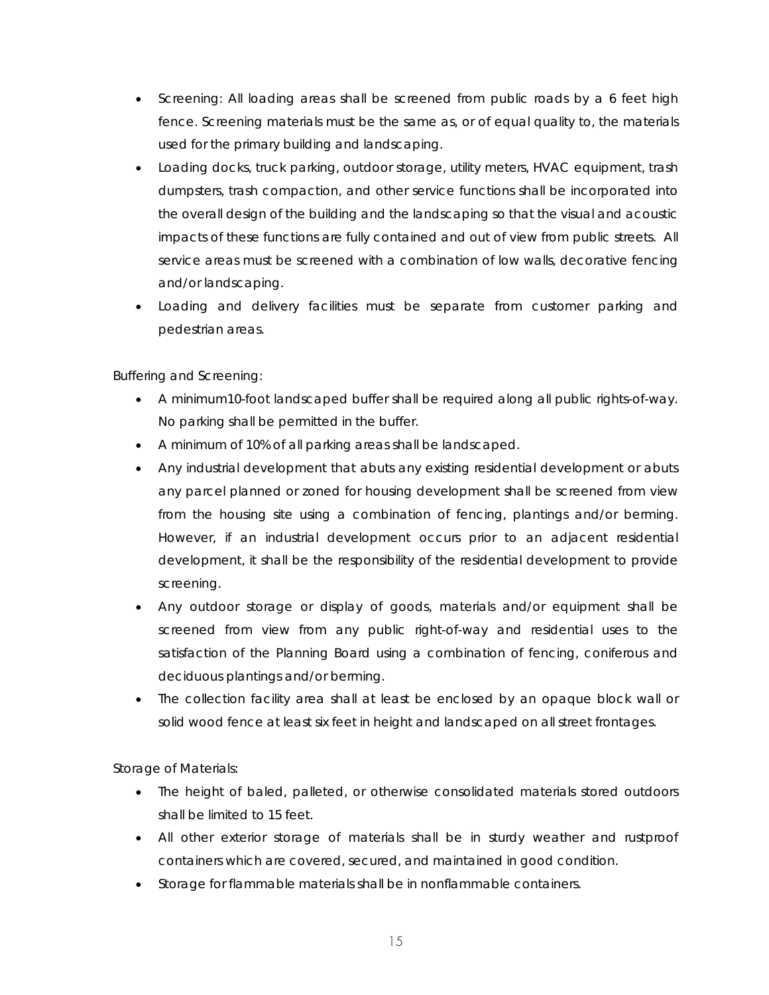- Screening: All loading areas shall be screened from public roads by a 6 feet high fence. Screening materials must be the same as, or of equal quality to, the materials used for the primary building and landscaping.
- Loading docks, truck parking, outdoor storage, utility meters, HVAC equipment, trash dumpsters, trash compaction, and other service functions shall be incorporated into the overall design of the building and the landscaping so that the visual and acoustic impacts of these functions are fully contained and out of view from public streets. All service areas must be screened with a combination of low walls, decorative fencing and/or landscaping.
- Loading and delivery facilities must be separate from customer parking and pedestrian areas.

# *Buffering and Screening:*

- A minimum10-foot landscaped buffer shall be required along all public rights-of-way. No parking shall be permitted in the buffer.
- A minimum of 10% of all parking areas shall be landscaped.
- Any industrial development that abuts any existing residential development or abuts any parcel planned or zoned for housing development shall be screened from view from the housing site using a combination of fencing, plantings and/or berming. However, if an industrial development occurs prior to an adjacent residential development, it shall be the responsibility of the residential development to provide screening.
- Any outdoor storage or display of goods, materials and/or equipment shall be screened from view from any public right-of-way and residential uses to the satisfaction of the Planning Board using a combination of fencing, coniferous and deciduous plantings and/or berming.
- The collection facility area shall at least be enclosed by an opaque block wall or solid wood fence at least six feet in height and landscaped on all street frontages.

# *Storage of Materials:*

- The height of baled, palleted, or otherwise consolidated materials stored outdoors shall be limited to 15 feet.
- All other exterior storage of materials shall be in sturdy weather and rustproof containers which are covered, secured, and maintained in good condition.
- Storage for flammable materials shall be in nonflammable containers.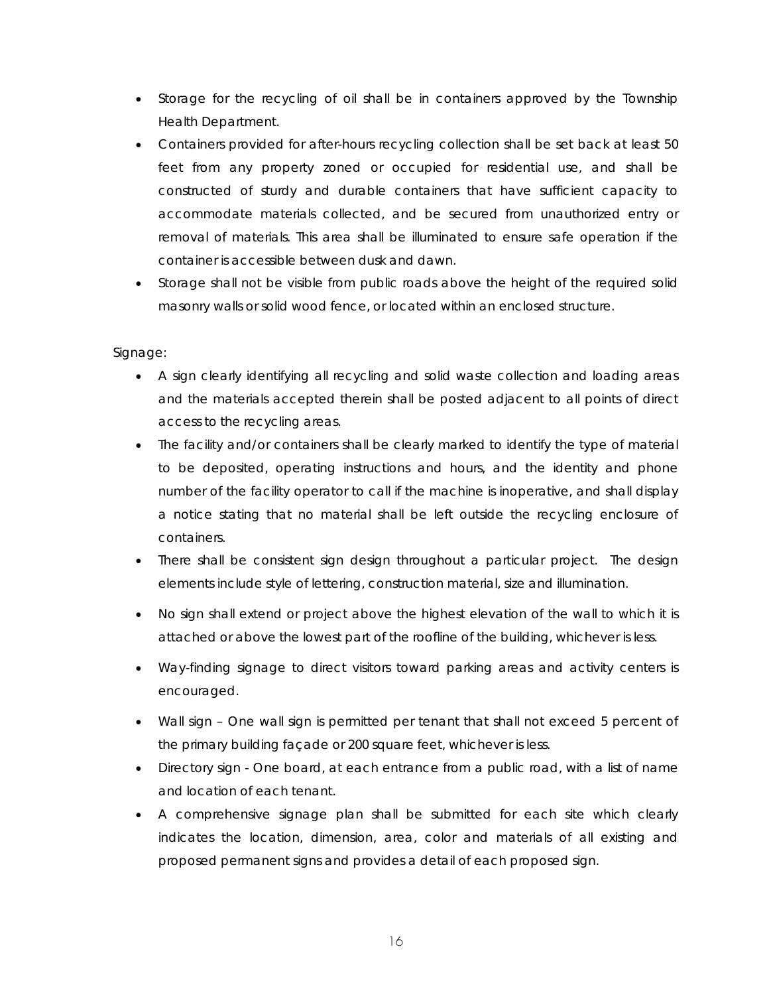- Storage for the recycling of oil shall be in containers approved by the Township Health Department.
- Containers provided for after-hours recycling collection shall be set back at least 50 feet from any property zoned or occupied for residential use, and shall be constructed of sturdy and durable containers that have sufficient capacity to accommodate materials collected, and be secured from unauthorized entry or removal of materials. This area shall be illuminated to ensure safe operation if the container is accessible between dusk and dawn.
- Storage shall not be visible from public roads above the height of the required solid masonry walls or solid wood fence, or located within an enclosed structure.

# *Signage:*

- A sign clearly identifying all recycling and solid waste collection and loading areas and the materials accepted therein shall be posted adjacent to all points of direct access to the recycling areas.
- The facility and/or containers shall be clearly marked to identify the type of material to be deposited, operating instructions and hours, and the identity and phone number of the facility operator to call if the machine is inoperative, and shall display a notice stating that no material shall be left outside the recycling enclosure of containers.
- There shall be consistent sign design throughout a particular project. The design elements include style of lettering, construction material, size and illumination.
- No sign shall extend or project above the highest elevation of the wall to which it is attached or above the lowest part of the roofline of the building, whichever is less.
- Way-finding signage to direct visitors toward parking areas and activity centers is encouraged.
- Wall sign One wall sign is permitted per tenant that shall not exceed 5 percent of the primary building façade or 200 square feet, whichever is less.
- Directory sign One board, at each entrance from a public road, with a list of name and location of each tenant.
- A comprehensive signage plan shall be submitted for each site which clearly indicates the location, dimension, area, color and materials of all existing and proposed permanent signs and provides a detail of each proposed sign.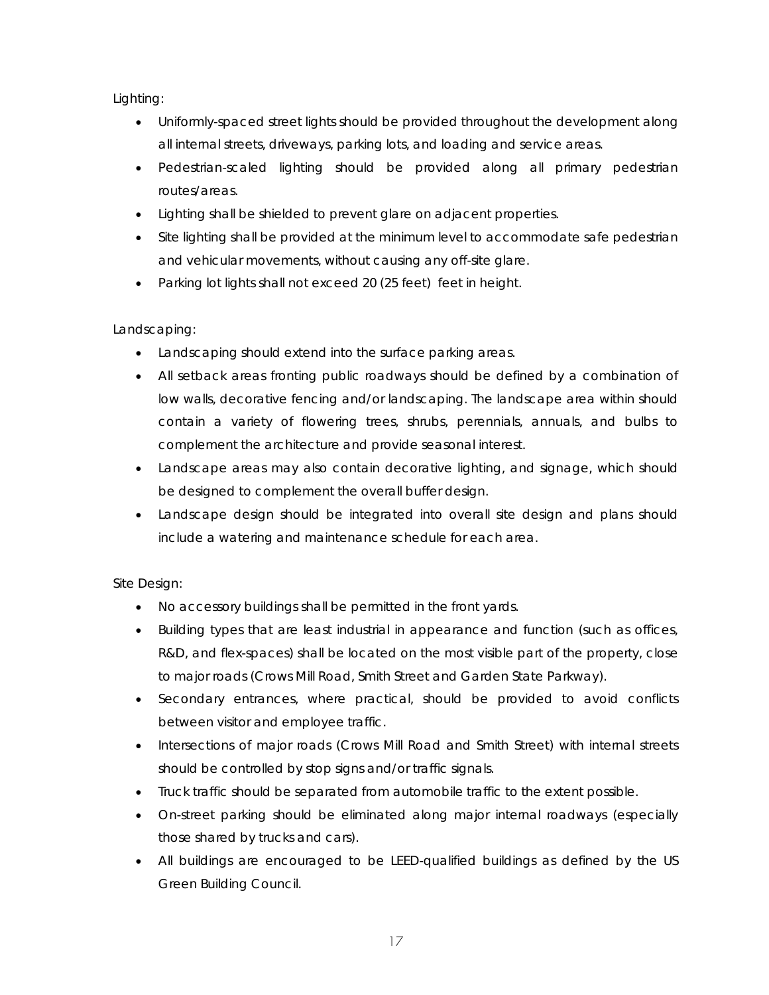# *Lighting:*

- Uniformly-spaced street lights should be provided throughout the development along all internal streets, driveways, parking lots, and loading and service areas.
- Pedestrian-scaled lighting should be provided along all primary pedestrian routes/areas.
- Lighting shall be shielded to prevent glare on adjacent properties.
- Site lighting shall be provided at the minimum level to accommodate safe pedestrian and vehicular movements, without causing any off-site glare.
- Parking lot lights shall not exceed 20 (25 feet) feet in height.

# *Landscaping:*

- Landscaping should extend into the surface parking areas.
- All setback areas fronting public roadways should be defined by a combination of low walls, decorative fencing and/or landscaping. The landscape area within should contain a variety of flowering trees, shrubs, perennials, annuals, and bulbs to complement the architecture and provide seasonal interest.
- Landscape areas may also contain decorative lighting, and signage, which should be designed to complement the overall buffer design.
- Landscape design should be integrated into overall site design and plans should include a watering and maintenance schedule for each area.

# *Site Design:*

- No accessory buildings shall be permitted in the front yards.
- Building types that are least industrial in appearance and function (such as offices, R&D, and flex-spaces) shall be located on the most visible part of the property, close to major roads (Crows Mill Road, Smith Street and Garden State Parkway).
- Secondary entrances, where practical, should be provided to avoid conflicts between visitor and employee traffic.
- Intersections of major roads (Crows Mill Road and Smith Street) with internal streets should be controlled by stop signs and/or traffic signals.
- Truck traffic should be separated from automobile traffic to the extent possible.
- On-street parking should be eliminated along major internal roadways (especially those shared by trucks and cars).
- All buildings are encouraged to be LEED-qualified buildings as defined by the US Green Building Council.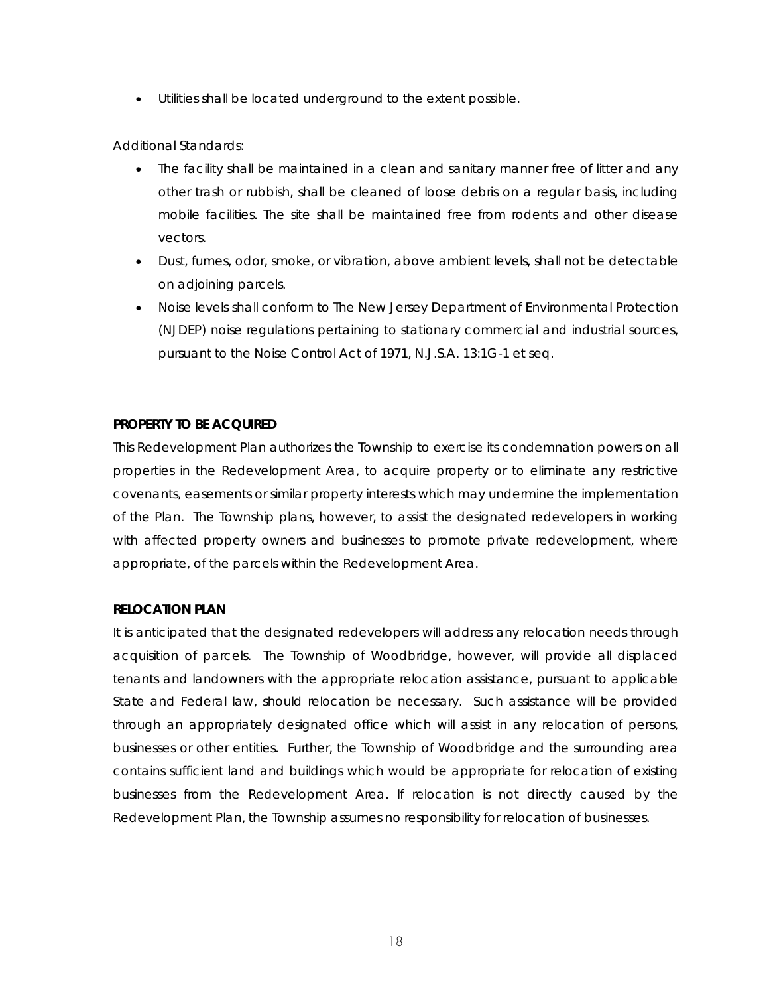• Utilities shall be located underground to the extent possible.

# *Additional Standards:*

- The facility shall be maintained in a clean and sanitary manner free of litter and any other trash or rubbish, shall be cleaned of loose debris on a regular basis, including mobile facilities. The site shall be maintained free from rodents and other disease vectors.
- Dust, fumes, odor, smoke, or vibration, above ambient levels, shall not be detectable on adjoining parcels.
- Noise levels shall conform to The New Jersey Department of Environmental Protection (NJDEP) noise regulations pertaining to stationary commercial and industrial sources, pursuant to the Noise Control Act of 1971, N.J.S.A. 13:1G-1 et seq.

# **PROPERTY TO BE ACQUIRED**

This Redevelopment Plan authorizes the Township to exercise its condemnation powers on all properties in the Redevelopment Area, to acquire property or to eliminate any restrictive covenants, easements or similar property interests which may undermine the implementation of the Plan. The Township plans, however, to assist the designated redevelopers in working with affected property owners and businesses to promote private redevelopment, where appropriate, of the parcels within the Redevelopment Area.

#### **RELOCATION PLAN**

It is anticipated that the designated redevelopers will address any relocation needs through acquisition of parcels. The Township of Woodbridge, however, will provide all displaced tenants and landowners with the appropriate relocation assistance, pursuant to applicable State and Federal law, should relocation be necessary. Such assistance will be provided through an appropriately designated office which will assist in any relocation of persons, businesses or other entities. Further, the Township of Woodbridge and the surrounding area contains sufficient land and buildings which would be appropriate for relocation of existing businesses from the Redevelopment Area. If relocation is not directly caused by the Redevelopment Plan, the Township assumes no responsibility for relocation of businesses.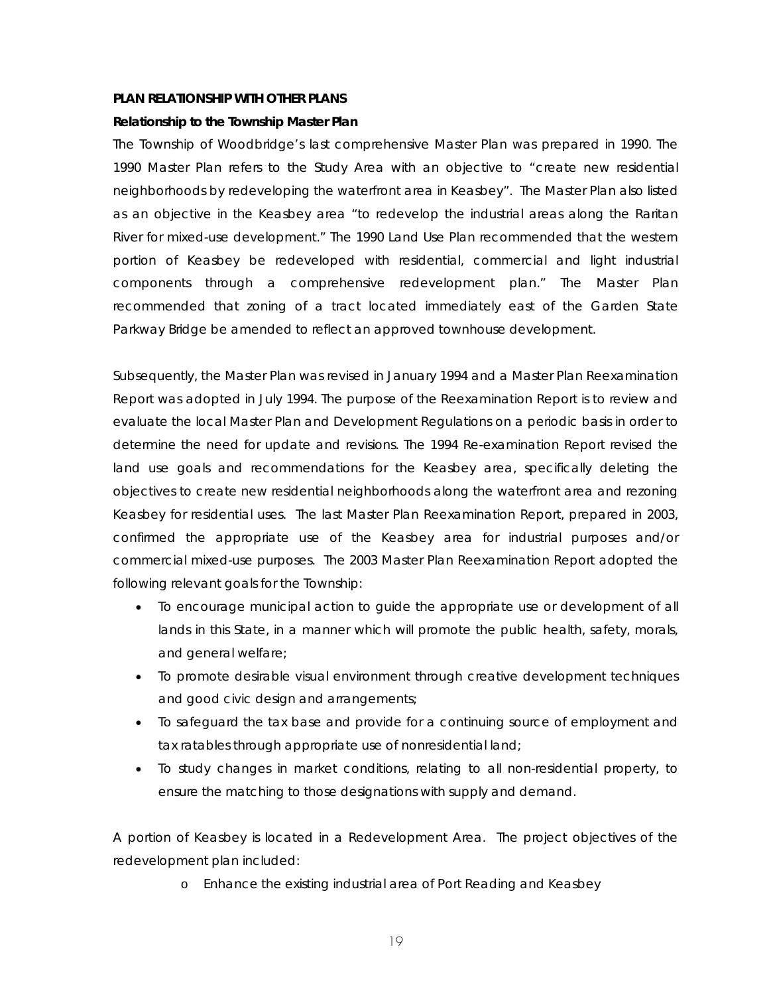#### **PLAN RELATIONSHIP WITH OTHER PLANS**

#### **Relationship to the Township Master Plan**

The Township of Woodbridge's last comprehensive Master Plan was prepared in 1990. The 1990 Master Plan refers to the Study Area with an objective to "create new residential neighborhoods by redeveloping the waterfront area in Keasbey". The Master Plan also listed as an objective in the Keasbey area "to redevelop the industrial areas along the Raritan River for mixed-use development." The 1990 Land Use Plan recommended that the western portion of Keasbey be redeveloped with residential, commercial and light industrial components through a comprehensive redevelopment plan." The Master Plan recommended that zoning of a tract located immediately east of the Garden State Parkway Bridge be amended to reflect an approved townhouse development.

Subsequently, the Master Plan was revised in January 1994 and a Master Plan Reexamination Report was adopted in July 1994. The purpose of the Reexamination Report is to review and evaluate the local Master Plan and Development Regulations on a periodic basis in order to determine the need for update and revisions. The 1994 Re-examination Report revised the land use goals and recommendations for the Keasbey area, specifically deleting the objectives to create new residential neighborhoods along the waterfront area and rezoning Keasbey for residential uses. The last Master Plan Reexamination Report, prepared in 2003, confirmed the appropriate use of the Keasbey area for industrial purposes and/or commercial mixed-use purposes. The 2003 Master Plan Reexamination Report adopted the following relevant goals for the Township:

- To encourage municipal action to guide the appropriate use or development of all lands in this State, in a manner which will promote the public health, safety, morals, and general welfare;
- To promote desirable visual environment through creative development techniques and good civic design and arrangements;
- To safeguard the tax base and provide for a continuing source of employment and tax ratables through appropriate use of nonresidential land;
- To study changes in market conditions, relating to all non-residential property, to ensure the matching to those designations with supply and demand.

A portion of Keasbey is located in a Redevelopment Area. The project objectives of the redevelopment plan included:

o Enhance the existing industrial area of Port Reading and Keasbey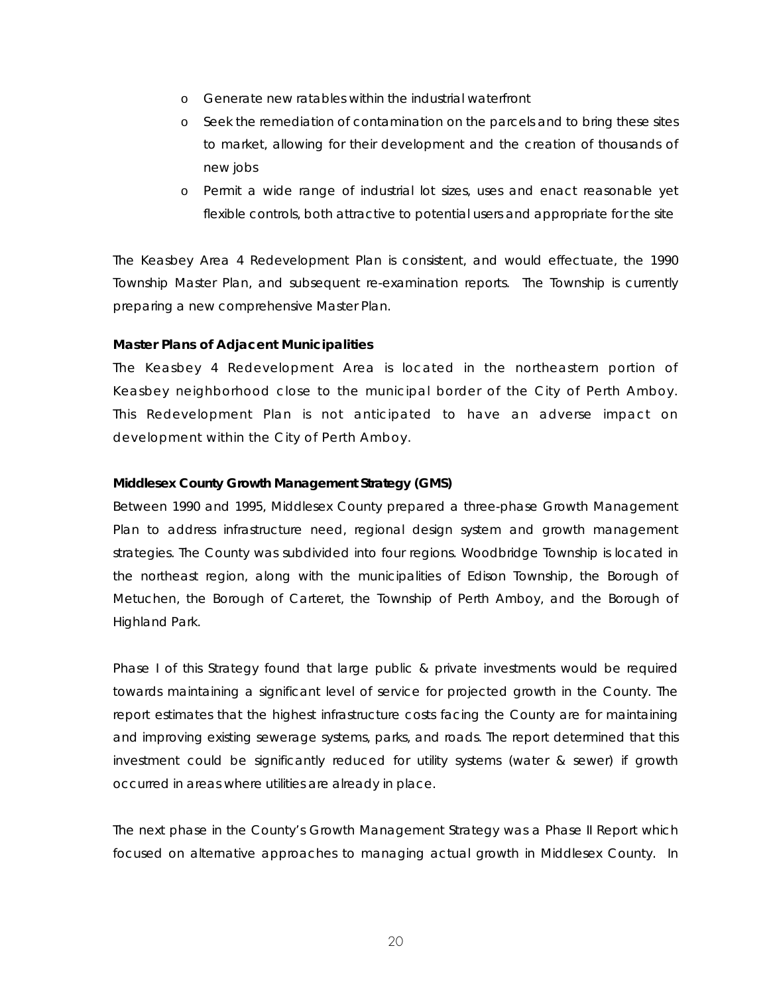- o Generate new ratables within the industrial waterfront
- o Seek the remediation of contamination on the parcels and to bring these sites to market, allowing for their development and the creation of thousands of new jobs
- o Permit a wide range of industrial lot sizes, uses and enact reasonable yet flexible controls, both attractive to potential users and appropriate for the site

The Keasbey Area 4 Redevelopment Plan is consistent, and would effectuate, the 1990 Township Master Plan, and subsequent re-examination reports. The Township is currently preparing a new comprehensive Master Plan.

# **Master Plans of Adjacent Municipalities**

The Keasbey 4 Redevelopment Area is located in the northeastern portion of Keasbey neighborhood close to the municipal border of the City of Perth Amboy. This Redevelopment Plan is not anticipated to have an adverse impact on development within the City of Perth Amboy.

# **Middlesex County Growth Management Strategy (GMS)**

Between 1990 and 1995, Middlesex County prepared a three-phase Growth Management Plan to address infrastructure need, regional design system and growth management strategies. The County was subdivided into four regions. Woodbridge Township is located in the northeast region, along with the municipalities of Edison Township, the Borough of Metuchen, the Borough of Carteret, the Township of Perth Amboy, and the Borough of Highland Park.

Phase I of this Strategy found that large public & private investments would be required towards maintaining a significant level of service for projected growth in the County. The report estimates that the highest infrastructure costs facing the County are for maintaining and improving existing sewerage systems, parks, and roads. The report determined that this investment could be significantly reduced for utility systems (water & sewer) if growth occurred in areas where utilities are already in place.

The next phase in the County's Growth Management Strategy was a Phase II Report which focused on alternative approaches to managing actual growth in Middlesex County. In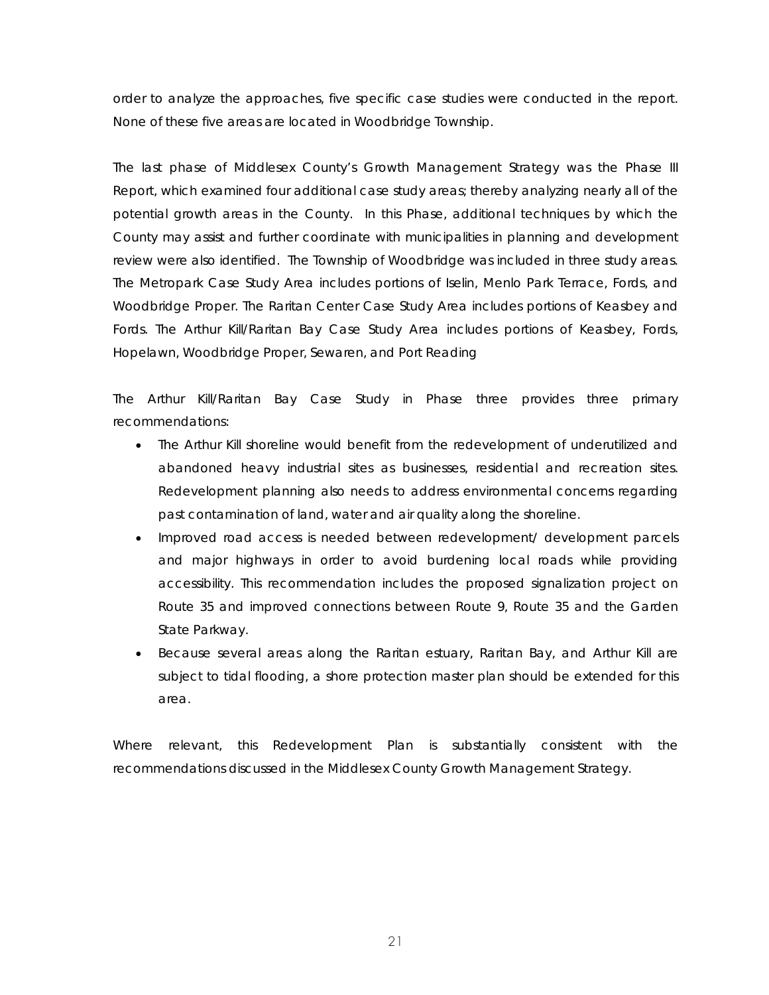order to analyze the approaches, five specific case studies were conducted in the report. None of these five areas are located in Woodbridge Township.

The last phase of Middlesex County's Growth Management Strategy was the Phase III Report, which examined four additional case study areas; thereby analyzing nearly all of the potential growth areas in the County. In this Phase, additional techniques by which the County may assist and further coordinate with municipalities in planning and development review were also identified. The Township of Woodbridge was included in three study areas. The Metropark Case Study Area includes portions of Iselin, Menlo Park Terrace, Fords, and Woodbridge Proper. The Raritan Center Case Study Area includes portions of Keasbey and Fords. The Arthur Kill/Raritan Bay Case Study Area includes portions of Keasbey, Fords, Hopelawn, Woodbridge Proper, Sewaren, and Port Reading

The Arthur Kill/Raritan Bay Case Study in Phase three provides three primary recommendations:

- The Arthur Kill shoreline would benefit from the redevelopment of underutilized and abandoned heavy industrial sites as businesses, residential and recreation sites. Redevelopment planning also needs to address environmental concerns regarding past contamination of land, water and air quality along the shoreline.
- Improved road access is needed between redevelopment/ development parcels and major highways in order to avoid burdening local roads while providing accessibility. This recommendation includes the proposed signalization project on Route 35 and improved connections between Route 9, Route 35 and the Garden State Parkway.
- Because several areas along the Raritan estuary, Raritan Bay, and Arthur Kill are subject to tidal flooding, a shore protection master plan should be extended for this area.

Where relevant, this Redevelopment Plan is substantially consistent with the recommendations discussed in the Middlesex County Growth Management Strategy.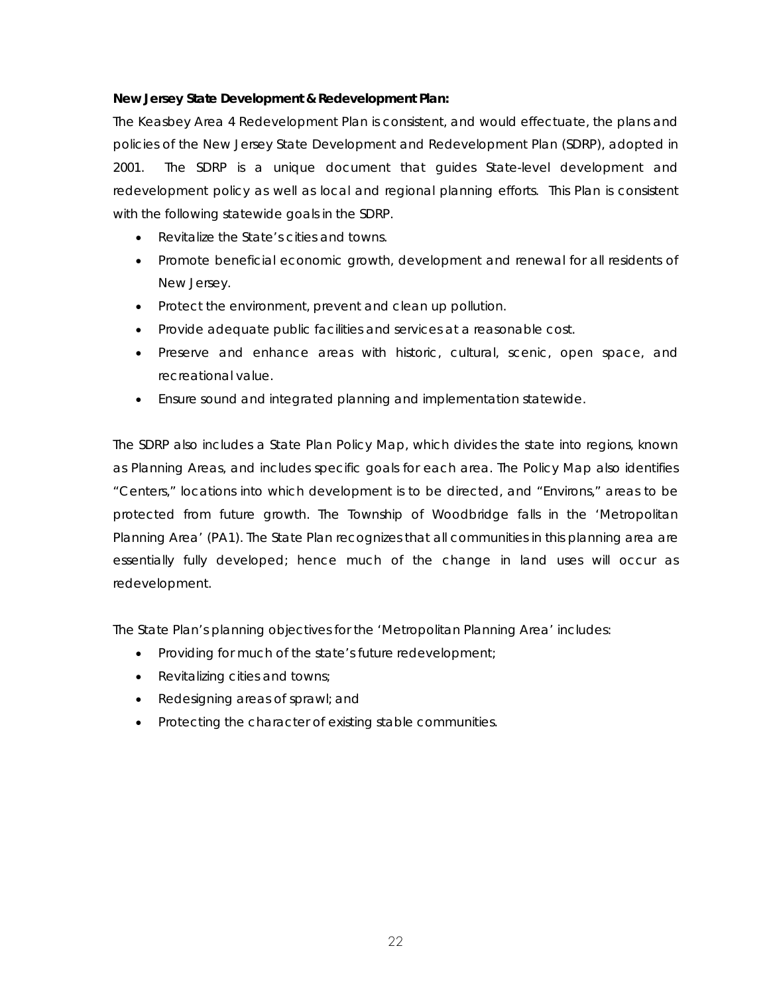# *New Jersey State Development & Redevelopment Plan:*

The Keasbey Area 4 Redevelopment Plan is consistent, and would effectuate, the plans and policies of the New Jersey State Development and Redevelopment Plan (SDRP), adopted in 2001. The SDRP is a unique document that guides State-level development and redevelopment policy as well as local and regional planning efforts. This Plan is consistent with the following statewide goals in the SDRP.

- Revitalize the State's cities and towns.
- Promote beneficial economic growth, development and renewal for all residents of New Jersey.
- Protect the environment, prevent and clean up pollution.
- Provide adequate public facilities and services at a reasonable cost.
- Preserve and enhance areas with historic, cultural, scenic, open space, and recreational value.
- Ensure sound and integrated planning and implementation statewide.

The SDRP also includes a State Plan Policy Map, which divides the state into regions, known as Planning Areas, and includes specific goals for each area. The Policy Map also identifies "Centers," locations into which development is to be directed, and "Environs," areas to be protected from future growth. The Township of Woodbridge falls in the 'Metropolitan Planning Area' (PA1). The State Plan recognizes that all communities in this planning area are essentially fully developed; hence much of the change in land uses will occur as redevelopment.

The State Plan's planning objectives for the 'Metropolitan Planning Area' includes:

- Providing for much of the state's future redevelopment;
- Revitalizing cities and towns;
- Redesigning areas of sprawl; and
- Protecting the character of existing stable communities.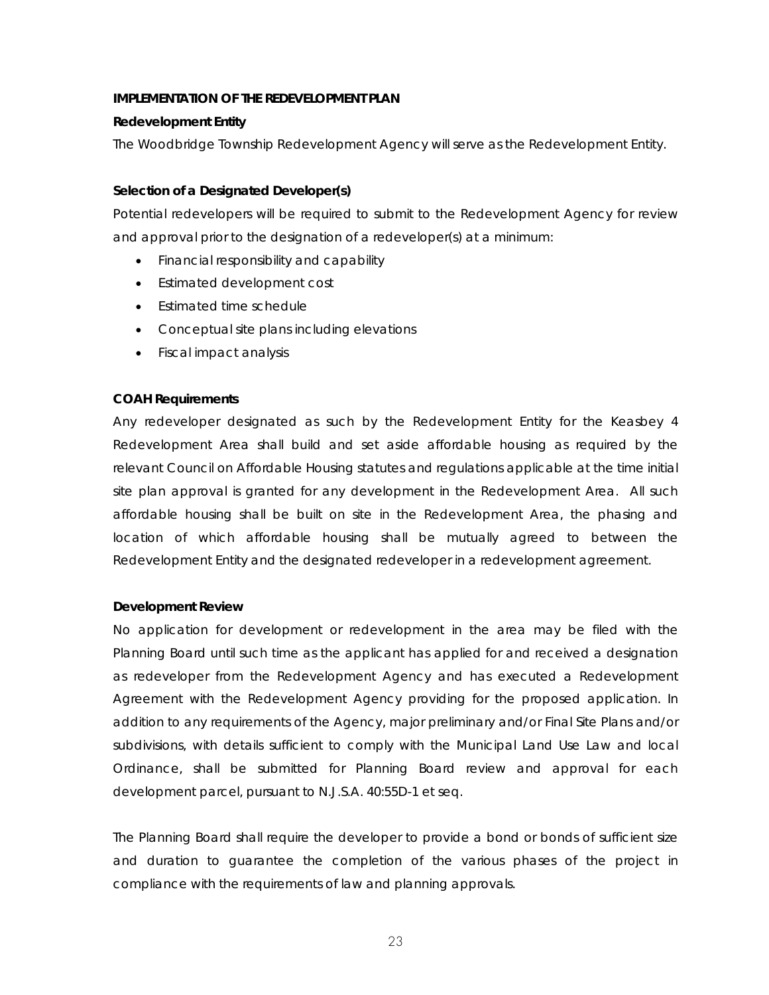#### **IMPLEMENTATION OF THE REDEVELOPMENT PLAN**

#### **Redevelopment Entity**

The Woodbridge Township Redevelopment Agency will serve as the Redevelopment Entity.

## **Selection of a Designated Developer(s)**

Potential redevelopers will be required to submit to the Redevelopment Agency for review and approval prior to the designation of a redeveloper(s) at a minimum:

- Financial responsibility and capability
- Estimated development cost
- Estimated time schedule
- Conceptual site plans including elevations
- Fiscal impact analysis

#### **COAH Requirements**

Any redeveloper designated as such by the Redevelopment Entity for the Keasbey 4 Redevelopment Area shall build and set aside affordable housing as required by the relevant Council on Affordable Housing statutes and regulations applicable at the time initial site plan approval is granted for any development in the Redevelopment Area. All such affordable housing shall be built on site in the Redevelopment Area, the phasing and location of which affordable housing shall be mutually agreed to between the Redevelopment Entity and the designated redeveloper in a redevelopment agreement.

#### **Development Review**

No application for development or redevelopment in the area may be filed with the Planning Board until such time as the applicant has applied for and received a designation as redeveloper from the Redevelopment Agency and has executed a Redevelopment Agreement with the Redevelopment Agency providing for the proposed application. In addition to any requirements of the Agency, major preliminary and/or Final Site Plans and/or subdivisions, with details sufficient to comply with the Municipal Land Use Law and local Ordinance, shall be submitted for Planning Board review and approval for each development parcel, pursuant to N.J.S.A. 40:55D-1 et seq.

The Planning Board shall require the developer to provide a bond or bonds of sufficient size and duration to guarantee the completion of the various phases of the project in compliance with the requirements of law and planning approvals.